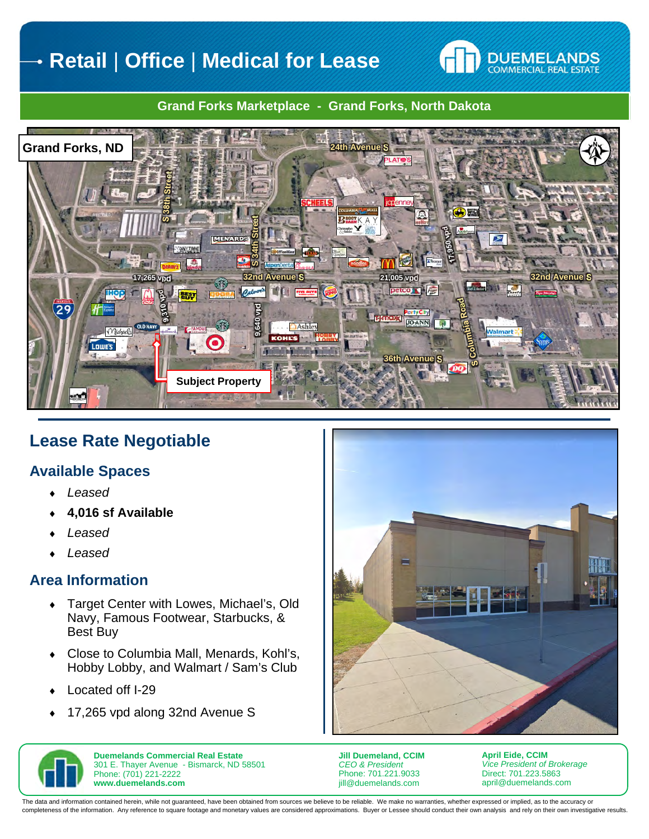# **Retail** | **Office** | **Medical for Lease**



#### **Grand Forks Marketplace - Grand Forks, North Dakota**



## **Lease Rate Negotiable**

#### **Available Spaces**

- *Leased*
- **4,016 sf Available**
- *Leased*
- *Leased*

#### **Area Information**

- Target Center with Lowes, Michael's, Old Navy, Famous Footwear, Starbucks, & Best Buy
- Close to Columbia Mall, Menards, Kohl's, Hobby Lobby, and Walmart / Sam's Club
- Located off I-29
- ◆ 17,265 vpd along 32nd Avenue S





**Duemelands Commercial Real Estate**  301 E. Thayer Avenue - Bismarck, ND 58501 Phone: (701) 221-2222 **www.duemelands.com** 

**Jill Duemeland, CCIM**  *CEO & President*  Phone: 701.221.9033 jill@duemelands.com

**April Eide, CCIM**  *Vice President of Brokerage*  Direct: 701.223.5863 april@duemelands.com

The data and information contained herein, while not guaranteed, have been obtained from sources we believe to be reliable. We make no warranties, whether expressed or implied, as to the accuracy or completeness of the information. Any reference to square footage and monetary values are considered approximations. Buyer or Lessee should conduct their own analysis and rely on their own investigative results.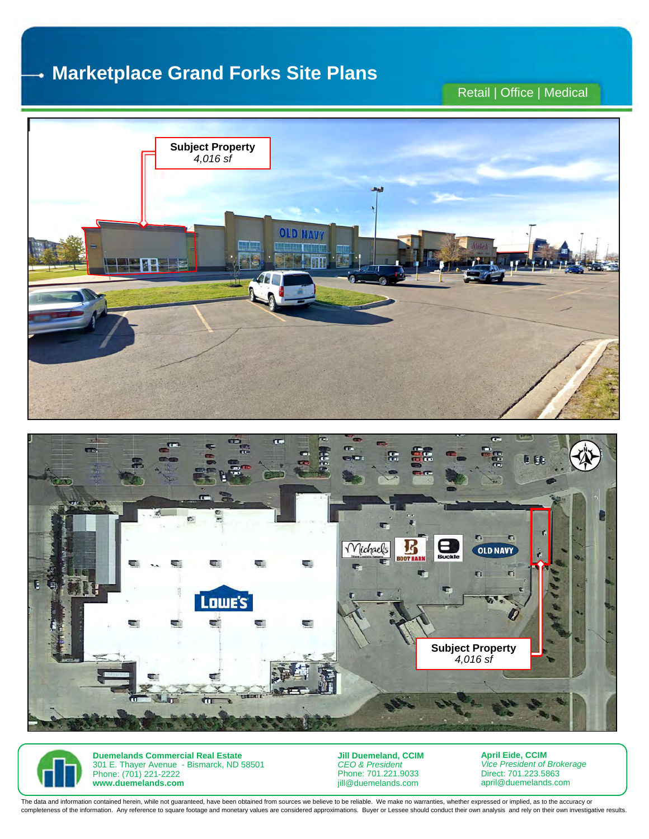#### **Marketplace Grand Forks Site Plans**  4

## Retail | Office | Medical







**Duemelands Commercial Real Estate**  301 E. Thayer Avenue - Bismarck, ND 58501 Phone: (701) 221-2222 **www.duemelands.com** 

**Jill Duemeland, CCIM**  *CEO & President*  Phone: 701.221.9033 jill@duemelands.com

**April Eide, CCIM**  *Vice President of Brokerage*  Direct: 701.223.5863 april@duemelands.com

The data and information contained herein, while not guaranteed, have been obtained from sources we believe to be reliable. We make no warranties, whether expressed or implied, as to the accuracy or completeness of the information. Any reference to square footage and monetary values are considered approximations. Buyer or Lessee should conduct their own analysis and rely on their own investigative results.